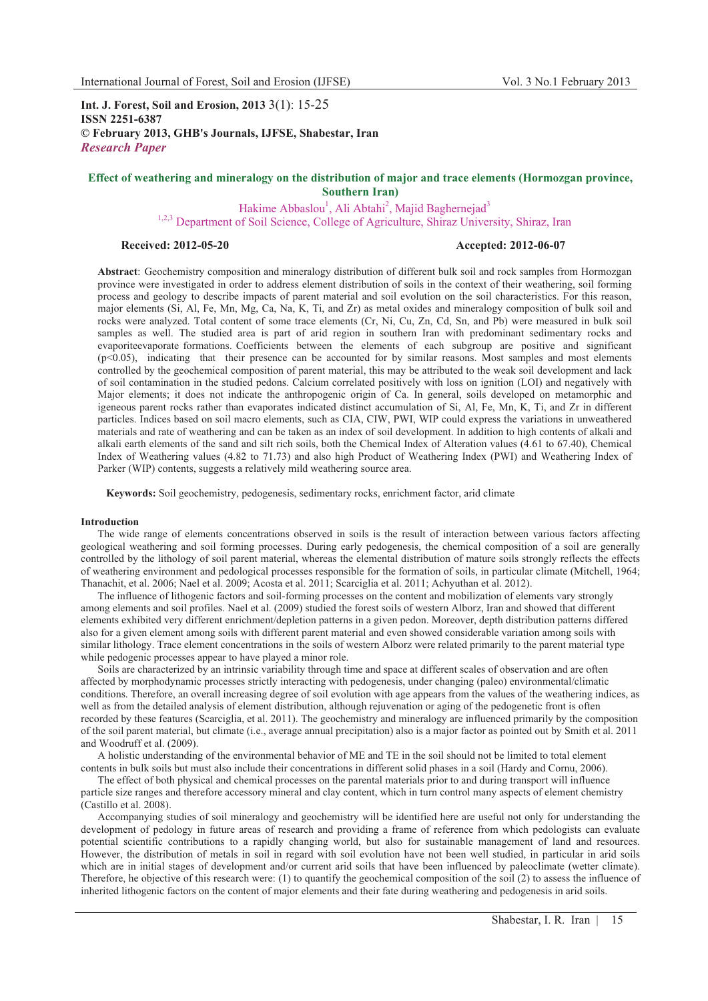**Int. J. Forest, Soil and Erosion, 2013** 3(1): 15-25 **ISSN 2251-6387 © February 2013, GHB's Journals, IJFSE, Shabestar, Iran** *Research Paper*

# **Effect of weathering and mineralogy on the distribution of major and trace elements (Hormozgan province, Southern Iran)**

Hakime Abbaslou<sup>1</sup>, Ali Abtahi<sup>2</sup>, Majid Baghernejad<sup>3</sup> <sup>1,2,3</sup> Department of Soil Science, College of Agriculture, Shiraz University, Shiraz, Iran<br>Received: 2012-05-20<br>**Accented: 2012-06-07** 

# **Received: 2012-05-20 Accepted: 2012-06-07**

**Abstract**: Geochemistry composition and mineralogy distribution of different bulk soil and rock samples from Hormozgan province were investigated in order to address element distribution of soils in the context of their weathering, soil forming process and geology to describe impacts of parent material and soil evolution on the soil characteristics. For this reason, major elements (Si, Al, Fe, Mn, Mg, Ca, Na, K, Ti, and Zr) as metal oxides and mineralogy composition of bulk soil and rocks were analyzed. Total content of some trace elements (Cr, Ni, Cu, Zn, Cd, Sn, and Pb) were measured in bulk soil samples as well. The studied area is part of arid region in southern Iran with predominant sedimentary rocks and evaporiteevaporate formations. Coefficients between the elements of each subgroup are positive and significant (p<0.05), indicating that their presence can be accounted for by similar reasons. Most samples and most elements controlled by the geochemical composition of parent material, this may be attributed to the weak soil development and lack of soil contamination in the studied pedons. Calcium correlated positively with loss on ignition (LOI) and negatively with Major elements; it does not indicate the anthropogenic origin of Ca. In general, soils developed on metamorphic and igeneous parent rocks rather than evaporates indicated distinct accumulation of Si, Al, Fe, Mn, K, Ti, and Zr in different particles. Indices based on soil macro elements, such as CIA, CIW, PWI, WIP could express the variations in unweathered materials and rate of weathering and can be taken as an index of soil development. In addition to high contents of alkali and alkali earth elements of the sand and silt rich soils, both the Chemical Index of Alteration values (4.61 to 67.40), Chemical Index of Weathering values (4.82 to 71.73) and also high Product of Weathering Index (PWI) and Weathering Index of Parker (WIP) contents, suggests a relatively mild weathering source area.

**Keywords:** Soil geochemistry, pedogenesis, sedimentary rocks, enrichment factor, arid climate

### **Introduction**

The wide range of elements concentrations observed in soils is the result of interaction between various factors affecting geological weathering and soil forming processes. During early pedogenesis, the chemical composition of a soil are generally controlled by the lithology of soil parent material, whereas the elemental distribution of mature soils strongly reflects the effects of weathering environment and pedological processes responsible for the formation of soils, in particular climate (Mitchell, 1964; Thanachit, et al. 2006; Nael et al. 2009; Acosta et al. 2011; Scarciglia et al. 2011; Achyuthan et al. 2012).

The influence of lithogenic factors and soil-forming processes on the content and mobilization of elements vary strongly among elements and soil profiles. Nael et al. (2009) studied the forest soils of western Alborz, Iran and showed that different elements exhibited very different enrichment/depletion patterns in a given pedon. Moreover, depth distribution patterns differed also for a given element among soils with different parent material and even showed considerable variation among soils with similar lithology. Trace element concentrations in the soils of western Alborz were related primarily to the parent material type while pedogenic processes appear to have played a minor role.

Soils are characterized by an intrinsic variability through time and space at different scales of observation and are often affected by morphodynamic processes strictly interacting with pedogenesis, under changing (paleo) environmental/climatic conditions. Therefore, an overall increasing degree of soil evolution with age appears from the values of the weathering indices, as well as from the detailed analysis of element distribution, although rejuvenation or aging of the pedogenetic front is often recorded by these features (Scarciglia, et al. 2011). The geochemistry and mineralogy are influenced primarily by the composition of the soil parent material, but climate (i.e., average annual precipitation) also is a major factor as pointed out by Smith et al. 2011 and Woodruff et al. (2009).

A holistic understanding of the environmental behavior of ME and TE in the soil should not be limited to total element contents in bulk soils but must also include their concentrations in different solid phases in a soil (Hardy and Cornu, 2006).

The effect of both physical and chemical processes on the parental materials prior to and during transport will influence particle size ranges and therefore accessory mineral and clay content, which in turn control many aspects of element chemistry (Castillo et al. 2008).

Accompanying studies of soil mineralogy and geochemistry will be identified here are useful not only for understanding the development of pedology in future areas of research and providing a frame of reference from which pedologists can evaluate potential scientific contributions to a rapidly changing world, but also for sustainable management of land and resources. However, the distribution of metals in soil in regard with soil evolution have not been well studied, in particular in arid soils which are in initial stages of development and/or current arid soils that have been influenced by paleoclimate (wetter climate). Therefore, he objective of this research were: (1) to quantify the geochemical composition of the soil (2) to assess the influence of inherited lithogenic factors on the content of major elements and their fate during weathering and pedogenesis in arid soils.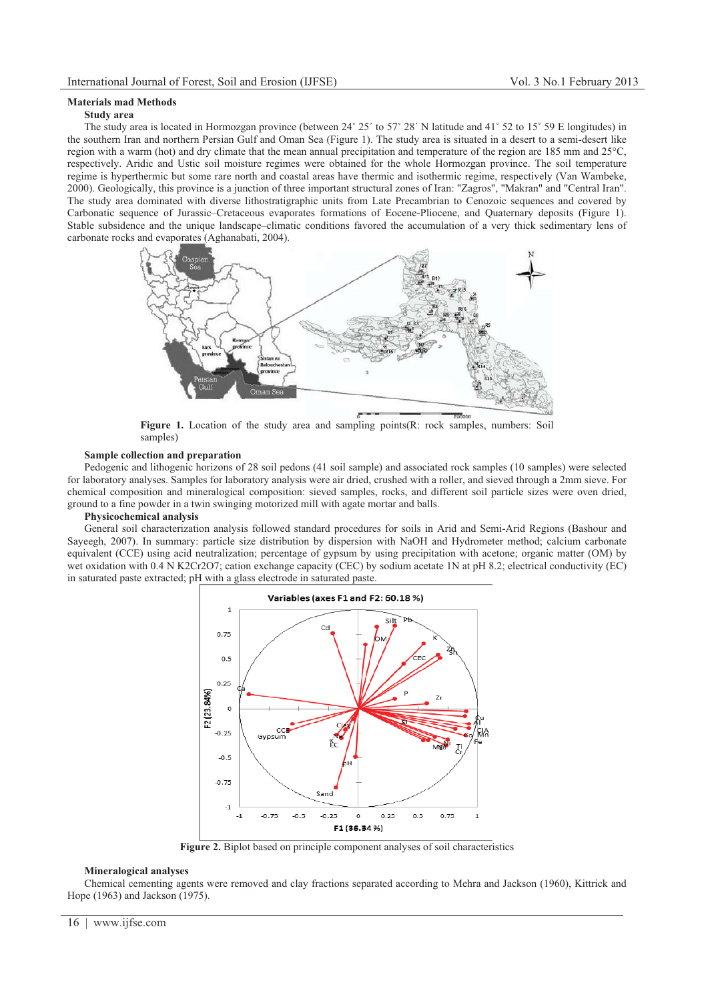# **Materials mad Methods**

# **Study area**

The study area is located in Hormozgan province (between  $24^{\circ}$   $25'$  to  $57^{\circ}$   $28'$  N latitude and  $41^{\circ}$  52 to  $15^{\circ}$  59 E longitudes) in the southern Iran and northern Persian Gulf and Oman Sea (Figure 1). The study area is situated in a desert to a semi-desert like region with a warm (hot) and dry climate that the mean annual precipitation and temperature of the region are 185 mm and 25°C, respectively. Aridic and Ustic soil moisture regimes were obtained for the whole Hormozgan province. The soil temperature regime is hyperthermic but some rare north and coastal areas have thermic and isothermic regime, respectively (Van Wambeke, 2000). Geologically, this province is a junction of three important structural zones of Iran: "Zagros", "Makran" and "Central Iran". The study area dominated with diverse lithostratigraphic units from Late Precambrian to Cenozoic sequences and covered by Carbonatic sequence of Jurassic–Cretaceous evaporates formations of Eocene-Pliocene, and Quaternary deposits (Figure 1). Stable subsidence and the unique landscape–climatic conditions favored the accumulation of a very thick sedimentary lens of carbonate rocks and evaporates (Aghanabati, 2004).



Figure 1. Location of the study area and sampling points(R: rock samples, numbers: Soil samples)

# **Sample collection and preparation**

Pedogenic and lithogenic horizons of 28 soil pedons (41 soil sample) and associated rock samples (10 samples) were selected for laboratory analyses. Samples for laboratory analysis were air dried, crushed with a roller, and sieved through a 2mm sieve. For chemical composition and mineralogical composition: sieved samples, rocks, and different soil particle sizes were oven dried, ground to a fine powder in a twin swinging motorized mill with agate mortar and balls.

# **Physicochemical analysis**

General soil characterization analysis followed standard procedures for soils in Arid and Semi-Arid Regions (Bashour and Sayeegh, 2007). In summary: particle size distribution by dispersion with NaOH and Hydrometer method; calcium carbonate equivalent (CCE) using acid neutralization; percentage of gypsum by using precipitation with acetone; organic matter (OM) by wet oxidation with 0.4 N K2Cr2O7; cation exchange capacity (CEC) by sodium acetate 1N at pH 8.2; electrical conductivity (EC) in saturated paste extracted; pH with a glass electrode in saturated paste.



**Figure 2.** Biplot based on principle component analyses of soil characteristics

### **Mineralogical analyses**

Chemical cementing agents were removed and clay fractions separated according to Mehra and Jackson (1960), Kittrick and Hope (1963) and Jackson (1975).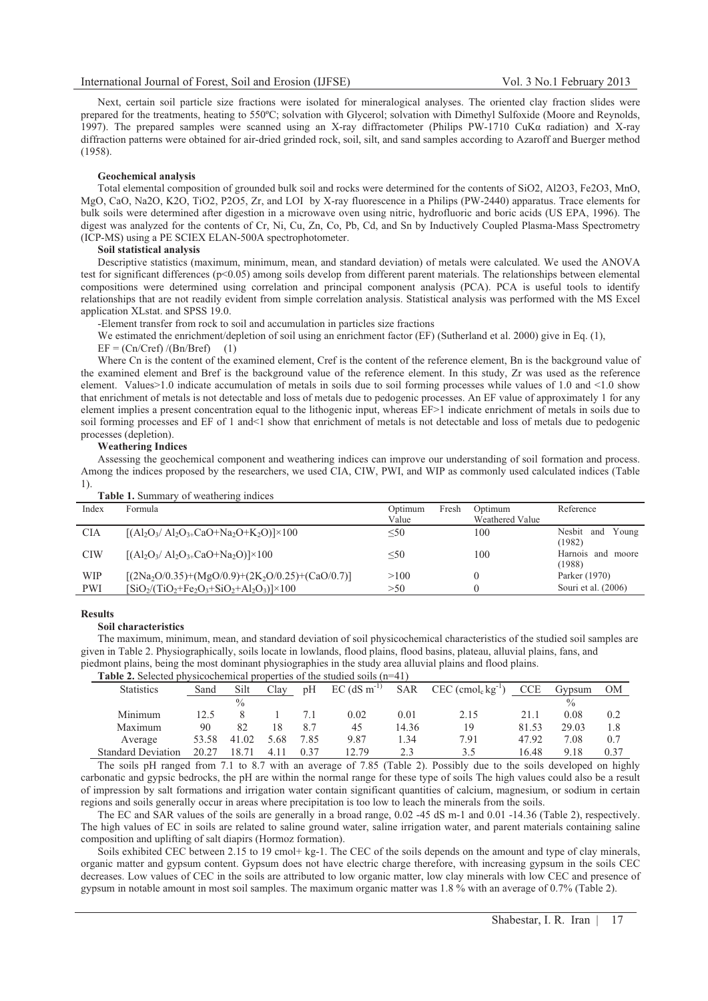Next, certain soil particle size fractions were isolated for mineralogical analyses. The oriented clay fraction slides were prepared for the treatments, heating to 550ºC; solvation with Glycerol; solvation with Dimethyl Sulfoxide (Moore and Reynolds, 1997). The prepared samples were scanned using an X-ray diffractometer (Philips PW-1710 CuK $\alpha$  radiation) and X-ray diffraction patterns were obtained for air-dried grinded rock, soil, silt, and sand samples according to Azaroff and Buerger method (1958).

# **Geochemical analysis**

Total elemental composition of grounded bulk soil and rocks were determined for the contents of SiO2, Al2O3, Fe2O3, MnO, MgO, CaO, Na2O, K2O, TiO2, P2O5, Zr, and LOI by X-ray fluorescence in a Philips (PW-2440) apparatus. Trace elements for bulk soils were determined after digestion in a microwave oven using nitric, hydrofluoric and boric acids (US EPA, 1996). The digest was analyzed for the contents of Cr, Ni, Cu, Zn, Co, Pb, Cd, and Sn by Inductively Coupled Plasma-Mass Spectrometry (ICP-MS) using a PE SCIEX ELAN-500A spectrophotometer.

### **Soil statistical analysis**

Descriptive statistics (maximum, minimum, mean, and standard deviation) of metals were calculated. We used the ANOVA test for significant differences (p<0.05) among soils develop from different parent materials. The relationships between elemental compositions were determined using correlation and principal component analysis (PCA). PCA is useful tools to identify relationships that are not readily evident from simple correlation analysis. Statistical analysis was performed with the MS Excel application XLstat. and SPSS 19.0.

-Element transfer from rock to soil and accumulation in particles size fractions

We estimated the enrichment/depletion of soil using an enrichment factor (EF) (Sutherland et al. 2000) give in Eq. (1),

#### $EF = (Cn/Cref)/(Bn/Bref)$  (1)

Where Cn is the content of the examined element. Cref is the content of the reference element. Bn is the background value of the examined element and Bref is the background value of the reference element. In this study, Zr was used as the reference element. Values>1.0 indicate accumulation of metals in soils due to soil forming processes while values of 1.0 and <1.0 show that enrichment of metals is not detectable and loss of metals due to pedogenic processes. An EF value of approximately 1 for any element implies a present concentration equal to the lithogenic input, whereas EF>1 indicate enrichment of metals in soils due to soil forming processes and EF of 1 and<1 show that enrichment of metals is not detectable and loss of metals due to pedogenic processes (depletion).

## **Weathering Indices**

Assessing the geochemical component and weathering indices can improve our understanding of soil formation and process. Among the indices proposed by the researchers, we used CIA, CIW, PWI, and WIP as commonly used calculated indices (Table 1).

| <b>Table 1.</b> Summary of weathering indices |                                                                                                                 |         |       |                 |                        |  |  |  |  |  |
|-----------------------------------------------|-----------------------------------------------------------------------------------------------------------------|---------|-------|-----------------|------------------------|--|--|--|--|--|
| Index                                         | Formula                                                                                                         | Optimum | Fresh | Optimum         | Reference              |  |  |  |  |  |
|                                               |                                                                                                                 | Value   |       | Weathered Value |                        |  |  |  |  |  |
| <b>CIA</b>                                    | $[(\text{Al}_2\text{O}_3/\text{Al}_2\text{O}_{3+}\text{CaO}+\text{Na}_2\text{O}+\text{K}_2\text{O})]\times 100$ | < 50    |       | 100             | Nesbit<br>Young<br>and |  |  |  |  |  |
|                                               |                                                                                                                 |         |       |                 | (1982)                 |  |  |  |  |  |
| <b>CIW</b>                                    | $[(\text{Al}_2\text{O}_3/\text{Al}_2\text{O}_{3+}\text{CaO}+\text{Na}_2\text{O})]\times 100$                    | $50$    |       | 100             | Harnois<br>and moore   |  |  |  |  |  |
|                                               |                                                                                                                 |         |       |                 | (1988)                 |  |  |  |  |  |
| <b>WIP</b>                                    | $[(2Na_2O/0.35)+(MgO/0.9)+(2K_2O/0.25)+(CaO/0.7)]$                                                              | >100    |       |                 | Parker (1970)          |  |  |  |  |  |
| <b>PWI</b>                                    | $[SiO_2/(TiO_2 + Fe_2O_3 + SiO_2 + Al_2O_3)] \times 100$                                                        | >50     |       |                 | Souri et al. (2006)    |  |  |  |  |  |

#### **Results**

#### **Soil characteristics**

The maximum, minimum, mean, and standard deviation of soil physicochemical characteristics of the studied soil samples are given in Table 2. Physiographically, soils locate in lowlands, flood plains, flood basins, plateau, alluvial plains, fans, and piedmont plains, being the most dominant physiographies in the study area alluvial plains and flood plains.

**Table 2.** Selected physicochemical properties of the studied soils (n=41)

| $1.9.91$ was valued to the constant of the control of the control of the control of the control of the control of the control of the control of the control of the control of the control of the control of the control of th |       |       |      |      |                            |            |                                             |            |               |      |
|-------------------------------------------------------------------------------------------------------------------------------------------------------------------------------------------------------------------------------|-------|-------|------|------|----------------------------|------------|---------------------------------------------|------------|---------------|------|
| <b>Statistics</b>                                                                                                                                                                                                             | Sand  | Silt  | Clav | pH   | $EC$ (dS m <sup>-1</sup> ) | <b>SAR</b> | $CEC$ (cmol <sub>c</sub> kg <sup>-1</sup> ) | <b>CCE</b> | Gypsum        | OМ   |
|                                                                                                                                                                                                                               |       | $\%$  |      |      |                            |            |                                             |            | $\frac{0}{0}$ |      |
| Minimum                                                                                                                                                                                                                       | 12.5  |       |      |      | 0.02                       | 0.01       | 2.15                                        | 21.1       | 0.08          | 0.2  |
| Maximum                                                                                                                                                                                                                       | 90    | 82    |      | 8.7  | 45                         | 14.36      | 19                                          | 81.53      | 29.03         | 1.8  |
| Average                                                                                                                                                                                                                       | 53.58 | 41.02 | 5.68 | 7.85 | 9.87                       | .34        | 7.91                                        | 47.92      | 7.08          | 0.7  |
| <b>Standard Deviation</b>                                                                                                                                                                                                     | 20.27 |       |      | 0.37 | 12.79                      | 2.3        | 3.5                                         | 16.48      | 9.18          | 0.37 |

The soils pH ranged from 7.1 to 8.7 with an average of 7.85 (Table 2). Possibly due to the soils developed on highly carbonatic and gypsic bedrocks, the pH are within the normal range for these type of soils The high values could also be a result of impression by salt formations and irrigation water contain significant quantities of calcium, magnesium, or sodium in certain regions and soils generally occur in areas where precipitation is too low to leach the minerals from the soils.

The EC and SAR values of the soils are generally in a broad range, 0.02 -45 dS m-1 and 0.01 -14.36 (Table 2), respectively. The high values of EC in soils are related to saline ground water, saline irrigation water, and parent materials containing saline composition and uplifting of salt diapirs (Hormoz formation).

Soils exhibited CEC between 2.15 to 19 cmol+ kg-1. The CEC of the soils depends on the amount and type of clay minerals, organic matter and gypsum content. Gypsum does not have electric charge therefore, with increasing gypsum in the soils CEC decreases. Low values of CEC in the soils are attributed to low organic matter, low clay minerals with low CEC and presence of gypsum in notable amount in most soil samples. The maximum organic matter was 1.8 % with an average of 0.7% (Table 2).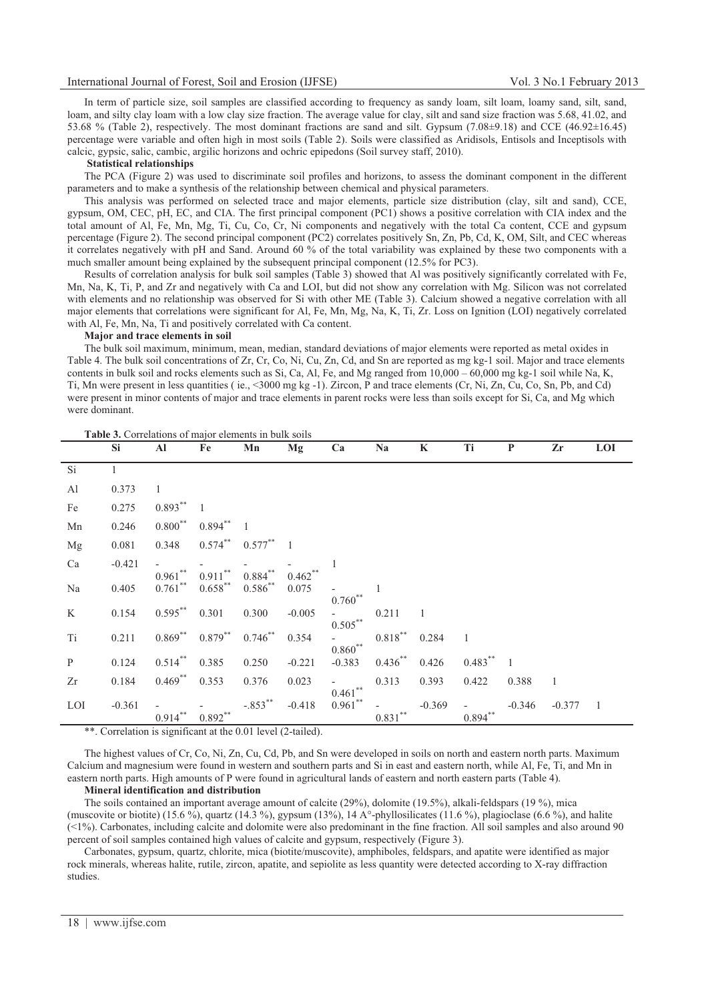In term of particle size, soil samples are classified according to frequency as sandy loam, silt loam, loamy sand, silt, sand, loam, and silty clay loam with a low clay size fraction. The average value for clay, silt and sand size fraction was 5.68, 41.02, and 53.68 % (Table 2), respectively. The most dominant fractions are sand and silt. Gypsum (7.08 $\pm$ 9.18) and CCE (46.92 $\pm$ 16.45) percentage were variable and often high in most soils (Table 2). Soils were classified as Aridisols, Entisols and Inceptisols with calcic, gypsic, salic, cambic, argilic horizons and ochric epipedons (Soil survey staff, 2010).

# **Statistical relationships**

The PCA (Figure 2) was used to discriminate soil profiles and horizons, to assess the dominant component in the different parameters and to make a synthesis of the relationship between chemical and physical parameters.

This analysis was performed on selected trace and major elements, particle size distribution (clay, silt and sand), CCE, gypsum, OM, CEC, pH, EC, and CIA. The first principal component (PC1) shows a positive correlation with CIA index and the total amount of Al, Fe, Mn, Mg, Ti, Cu, Co, Cr, Ni components and negatively with the total Ca content, CCE and gypsum percentage (Figure 2). The second principal component (PC2) correlates positively Sn, Zn, Pb, Cd, K, OM, Silt, and CEC whereas it correlates negatively with pH and Sand. Around 60 % of the total variability was explained by these two components with a much smaller amount being explained by the subsequent principal component (12.5% for PC3).

Results of correlation analysis for bulk soil samples (Table 3) showed that Al was positively significantly correlated with Fe, Mn, Na, K, Ti, P, and Zr and negatively with Ca and LOI, but did not show any correlation with Mg. Silicon was not correlated with elements and no relationship was observed for Si with other ME (Table 3). Calcium showed a negative correlation with all major elements that correlations were significant for Al, Fe, Mn, Mg, Na, K, Ti, Zr. Loss on Ignition (LOI) negatively correlated with Al, Fe, Mn, Na, Ti and positively correlated with Ca content.

#### **Major and trace elements in soil**

The bulk soil maximum, minimum, mean, median, standard deviations of major elements were reported as metal oxides in Table 4. The bulk soil concentrations of Zr, Cr, Co, Ni, Cu, Zn, Cd, and Sn are reported as mg kg-1 soil. Major and trace elements contents in bulk soil and rocks elements such as Si, Ca, Al, Fe, and Mg ranged from  $10,000 - 60,000$  mg kg-1 soil while Na, K, Ti, Mn were present in less quantities ( ie., <3000 mg kg -1). Zircon, P and trace elements (Cr, Ni, Zn, Cu, Co, Sn, Pb, and Cd) were present in minor contents of major and trace elements in parent rocks were less than soils except for Si, Ca, and Mg which were dominant.

|                | <b>Si</b>    | Al                       | Fe                       | Mn                        | Mg                 | Ca                      | <b>Na</b>  | $\bf K$        | Ti             | $\mathbf P$    | Zr       | <b>LOI</b>     |
|----------------|--------------|--------------------------|--------------------------|---------------------------|--------------------|-------------------------|------------|----------------|----------------|----------------|----------|----------------|
| Si             | $\mathbf{1}$ |                          |                          |                           |                    |                         |            |                |                |                |          |                |
| $\mathbf{A}$ l | 0.373        | $\mathbf{1}$             |                          |                           |                    |                         |            |                |                |                |          |                |
| Fe             | 0.275        | $0.893***$               | $\overline{1}$           |                           |                    |                         |            |                |                |                |          |                |
| Mn             | 0.246        | $0.800***$               | $0.894$ ** 1             |                           |                    |                         |            |                |                |                |          |                |
| Mg             | 0.081        | 0.348                    | $0.574$ **               | $0.577$ ** 1              |                    |                         |            |                |                |                |          |                |
| Ca             | $-0.421$     |                          |                          |                           |                    |                         |            |                |                |                |          |                |
| Na             | 0.405        | $0.961***$<br>$0.761$ ** | $0.911***$<br>$0.658***$ | $0.884**$<br>$0.586^{**}$ | $0.462**$<br>0.075 | $0.760**$               | 1          |                |                |                |          |                |
| K              | 0.154        | $0.595***$               | 0.301                    | 0.300                     | $-0.005$           |                         | 0.211      | $\overline{1}$ |                |                |          |                |
| Ti             | 0.211        | $0.869***$               | $0.879***$               | $0.746$ **                | 0.354              | $0.505***$<br>$0.860**$ | $0.818***$ | 0.284          | $\overline{1}$ |                |          |                |
| $\, {\bf p}$   | 0.124        | $0.514***$               | 0.385                    | 0.250                     | $-0.221$           | $-0.383$                | $0.436***$ | 0.426          | $0.483***$     | $\overline{1}$ |          |                |
| Zr             | 0.184        | $0.469$ **               | 0.353                    | 0.376                     | 0.023              | $\sim$<br>$0.461***$    | 0.313      | 0.393          | 0.422          | 0.388          | - 1      |                |
| LOI            | $-0.361$     | $0.914***$               | $0.892***$               | $-.853***$                | $-0.418$           | $0.961$ **              | $0.831***$ | $-0.369$       | $0.894$ **     | $-0.346$       | $-0.377$ | $\overline{1}$ |

\*\*. Correlation is significant at the 0.01 level (2-tailed).

The highest values of Cr, Co, Ni, Zn, Cu, Cd, Pb, and Sn were developed in soils on north and eastern north parts. Maximum Calcium and magnesium were found in western and southern parts and Si in east and eastern north, while Al, Fe, Ti, and Mn in eastern north parts. High amounts of P were found in agricultural lands of eastern and north eastern parts (Table 4).

## **Mineral identification and distribution**

The soils contained an important average amount of calcite (29%), dolomite (19.5%), alkali-feldspars (19 %), mica (muscovite or biotite) (15.6 %), quartz (14.3 %), gypsum (13%), 14 A°-phyllosilicates (11.6 %), plagioclase (6.6 %), and halite (<1%). Carbonates, including calcite and dolomite were also predominant in the fine fraction. All soil samples and also around 90 percent of soil samples contained high values of calcite and gypsum, respectively (Figure 3).

Carbonates, gypsum, quartz, chlorite, mica (biotite/muscovite), amphiboles, feldspars, and apatite were identified as major rock minerals, whereas halite, rutile, zircon, apatite, and sepiolite as less quantity were detected according to X-ray diffraction studies.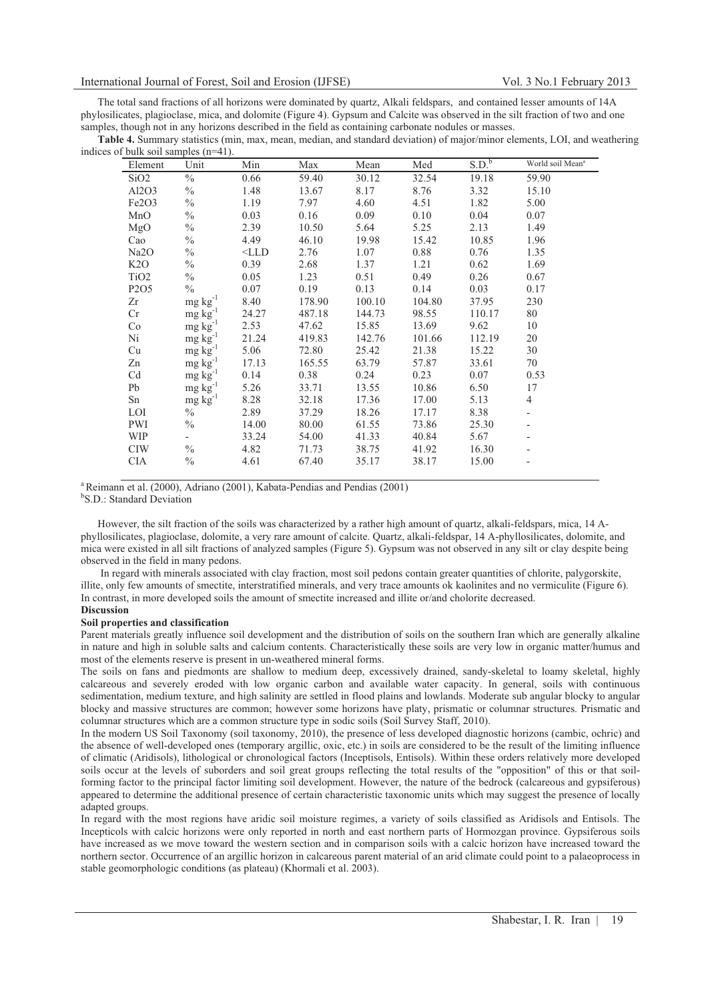The total sand fractions of all horizons were dominated by quartz, Alkali feldspars, and contained lesser amounts of 14A phylosilicates, plagioclase, mica, and dolomite (Figure 4). Gypsum and Calcite was observed in the silt fraction of two and one samples, though not in any horizons described in the field as containing carbonate nodules or masses.

**Table 4.** Summary statistics (min, max, mean, median, and standard deviation) of major/minor elements, LOI, and weathering indices of bulk soil samples (n=41).

| Element                        | Unit                 | Min                        | Max    | Mean   | Med    | S.D. <sup>b</sup> | World soil Mean <sup>a</sup> |
|--------------------------------|----------------------|----------------------------|--------|--------|--------|-------------------|------------------------------|
| SiO2                           | $\frac{0}{0}$        | 0.66                       | 59.40  | 30.12  | 32.54  | 19.18             | 59.90                        |
| Al2O3                          | $\frac{0}{0}$        | 1.48                       | 13.67  | 8.17   | 8.76   | 3.32              | 15.10                        |
| Fe <sub>2</sub> O <sub>3</sub> | $\frac{0}{0}$        | 1.19                       | 7.97   | 4.60   | 4.51   | 1.82              | 5.00                         |
| MnO                            | $\frac{0}{0}$        | 0.03                       | 0.16   | 0.09   | 0.10   | 0.04              | 0.07                         |
| MgO                            | $\frac{0}{0}$        | 2.39                       | 10.50  | 5.64   | 5.25   | 2.13              | 1.49                         |
| Cao                            | $\frac{0}{0}$        | 4.49                       | 46.10  | 19.98  | 15.42  | 10.85             | 1.96                         |
| Na2O                           | $\frac{0}{0}$        | $<$ LLD                    | 2.76   | 1.07   | 0.88   | 0.76              | 1.35                         |
| K2O                            | $\frac{0}{0}$        | 0.39                       | 2.68   | 1.37   | 1.21   | 0.62              | 1.69                         |
| TiO <sub>2</sub>               | $\%$                 | 0.05                       | 1.23   | 0.51   | 0.49   | 0.26              | 0.67                         |
| P <sub>2</sub> O <sub>5</sub>  | $\%$                 | 0.07                       | 0.19   | 0.13   | 0.14   | 0.03              | 0.17                         |
| Zr                             | $mg \, kg^{-1}$      | 8.40                       | 178.90 | 100.10 | 104.80 | 37.95             | 230                          |
| Cr                             | $mg \, kg^{-1}$      | 24.27                      | 487.18 | 144.73 | 98.55  | 110.17            | 80                           |
| Co                             | $mg \, kg^{-1}$      | 2.53                       | 47.62  | 15.85  | 13.69  | 9.62              | 10                           |
| Ni                             | $mg \ kg^{-1}$       | 21.24                      | 419.83 | 142.76 | 101.66 | 112.19            | 20                           |
| Cu                             | $mg \text{ kg}^{-1}$ | 5.06                       | 72.80  | 25.42  | 21.38  | 15.22             | 30                           |
| Zn                             |                      | $mg \text{ kg}^{-1}$ 17.13 | 165.55 | 63.79  | 57.87  | 33.61             | 70                           |
| Cd                             | $mg \text{ kg}^{-1}$ | 0.14                       | 0.38   | 0.24   | 0.23   | 0.07              | 0.53                         |
| Pb                             | $mg \, kg^{-1}$      | 5.26                       | 33.71  | 13.55  | 10.86  | 6.50              | 17                           |
| Sn                             | $mg \, kg^{-1}$      | 8.28                       | 32.18  | 17.36  | 17.00  | 5.13              | $\overline{4}$               |
| LOI                            | $\%$                 | 2.89                       | 37.29  | 18.26  | 17.17  | 8.38              |                              |
| PWI                            | $\frac{0}{0}$        | 14.00                      | 80.00  | 61.55  | 73.86  | 25.30             |                              |
| <b>WIP</b>                     | $\sim$               | 33.24                      | 54.00  | 41.33  | 40.84  | 5.67              |                              |
| <b>CIW</b>                     | $\frac{0}{0}$        | 4.82                       | 71.73  | 38.75  | 41.92  | 16.30             |                              |
| <b>CIA</b>                     | $\frac{0}{0}$        | 4.61                       | 67.40  | 35.17  | 38.17  | 15.00             |                              |

<sup>a</sup> Reimann et al. (2000), Adriano (2001), Kabata-Pendias and Pendias (2001)

<sup>b</sup>S.D.: Standard Deviation

However, the silt fraction of the soils was characterized by a rather high amount of quartz, alkali-feldspars, mica, 14 Aphyllosilicates, plagioclase, dolomite, a very rare amount of calcite. Quartz, alkali-feldspar, 14 A-phyllosilicates, dolomite, and mica were existed in all silt fractions of analyzed samples (Figure 5). Gypsum was not observed in any silt or clay despite being observed in the field in many pedons.

 In regard with minerals associated with clay fraction, most soil pedons contain greater quantities of chlorite, palygorskite, illite, only few amounts of smectite, interstratified minerals, and very trace amounts ok kaolinites and no vermiculite (Figure 6). In contrast, in more developed soils the amount of smectite increased and illite or/and cholorite decreased. **Discussion** 

# **Soil properties and classification**

Parent materials greatly influence soil development and the distribution of soils on the southern Iran which are generally alkaline in nature and high in soluble salts and calcium contents. Characteristically these soils are very low in organic matter/humus and most of the elements reserve is present in un-weathered mineral forms.

The soils on fans and piedmonts are shallow to medium deep, excessively drained, sandy-skeletal to loamy skeletal, highly calcareous and severely eroded with low organic carbon and available water capacity. In general, soils with continuous sedimentation, medium texture, and high salinity are settled in flood plains and lowlands. Moderate sub angular blocky to angular blocky and massive structures are common; however some horizons have platy, prismatic or columnar structures. Prismatic and columnar structures which are a common structure type in sodic soils (Soil Survey Staff, 2010).

In the modern US Soil Taxonomy (soil taxonomy, 2010), the presence of less developed diagnostic horizons (cambic, ochric) and the absence of well-developed ones (temporary argillic, oxic, etc.) in soils are considered to be the result of the limiting influence of climatic (Aridisols), lithological or chronological factors (Inceptisols, Entisols). Within these orders relatively more developed soils occur at the levels of suborders and soil great groups reflecting the total results of the "opposition" of this or that soilforming factor to the principal factor limiting soil development. However, the nature of the bedrock (calcareous and gypsiferous) appeared to determine the additional presence of certain characteristic taxonomic units which may suggest the presence of locally adapted groups.

In regard with the most regions have aridic soil moisture regimes, a variety of soils classified as Aridisols and Entisols. The Incepticols with calcic horizons were only reported in north and east northern parts of Hormozgan province. Gypsiferous soils have increased as we move toward the western section and in comparison soils with a calcic horizon have increased toward the northern sector. Occurrence of an argillic horizon in calcareous parent material of an arid climate could point to a palaeoprocess in stable geomorphologic conditions (as plateau) (Khormali et al. 2003).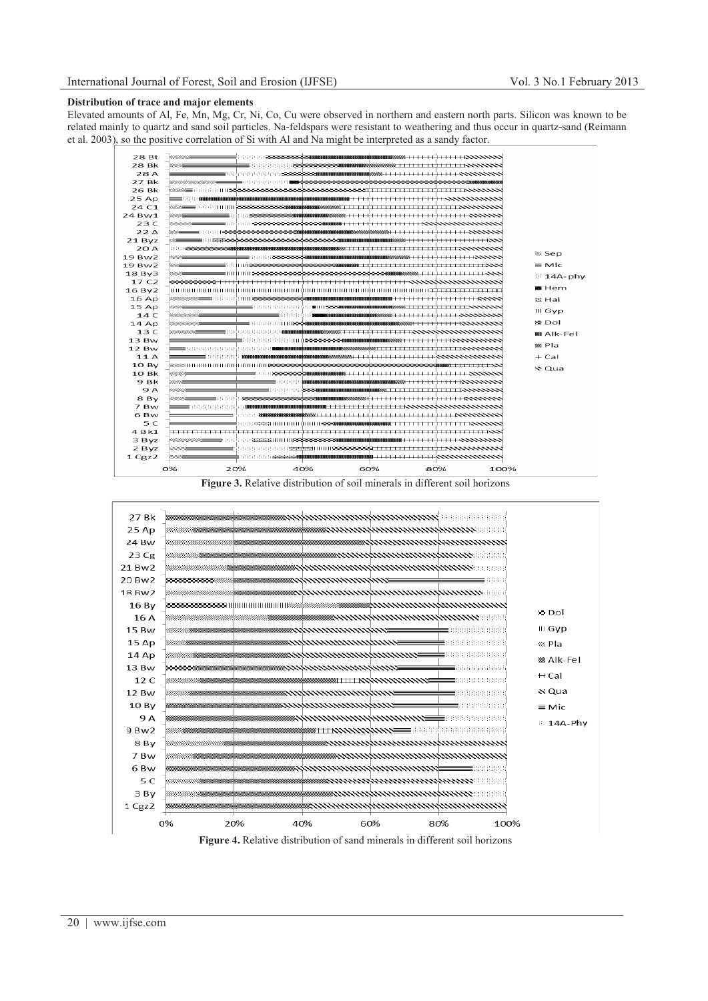## **Distribution of trace and major elements**

Elevated amounts of Al, Fe, Mn, Mg, Cr, Ni, Co, Cu were observed in northern and eastern north parts. Silicon was known to be related mainly to quartz and sand soil particles. Na-feldspars were resistant to weathering and thus occur in quartz-sand (Reimann et al. 2003), so the positive correlation of Si with Al and Na might be interpreted as a sandy factor.



**Figure 3.** Relative distribution of soil minerals in different soil horizons



**Figure 4.** Relative distribution of sand minerals in different soil horizons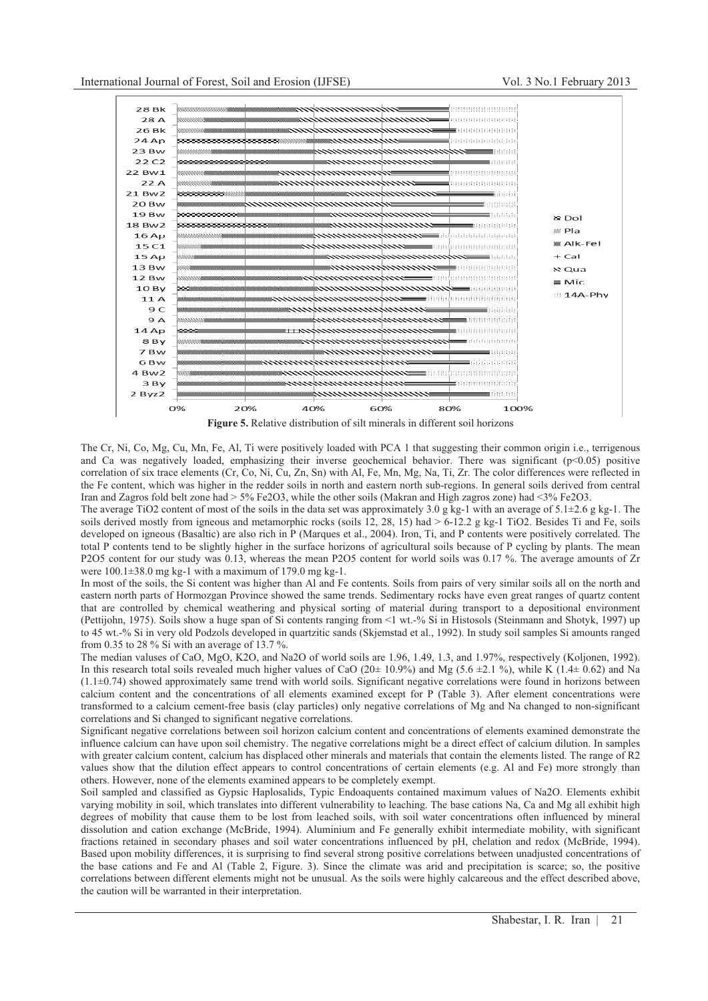

The Cr, Ni, Co, Mg, Cu, Mn, Fe, Al, Ti were positively loaded with PCA 1 that suggesting their common origin i.e., terrigenous and Ca was negatively loaded, emphasizing their inverse geochemical behavior. There was significant  $(p<0.05)$  positive correlation of six trace elements (Cr, Co, Ni, Cu, Zn, Sn) with Al, Fe, Mn, Mg, Na, Ti, Zr. The color differences were reflected in the Fe content, which was higher in the redder soils in north and eastern north sub-regions. In general soils derived from central Iran and Zagros fold belt zone had > 5% Fe2O3, while the other soils (Makran and High zagros zone) had <3% Fe2O3.

The average TiO2 content of most of the soils in the data set was approximately  $3.0$  g kg-1 with an average of  $5.1 \pm 2.6$  g kg-1. The soils derived mostly from igneous and metamorphic rocks (soils  $12, 28, 15$ ) had  $> 6-12.2$  g kg-1 TiO2. Besides Ti and Fe, soils developed on igneous (Basaltic) are also rich in P (Marques et al., 2004). Iron, Ti, and P contents were positively correlated. The total P contents tend to be slightly higher in the surface horizons of agricultural soils because of P cycling by plants. The mean P2O5 content for our study was 0.13, whereas the mean P2O5 content for world soils was 0.17 %. The average amounts of Zr were  $100.1\pm38.0$  mg kg-1 with a maximum of 179.0 mg kg-1.

In most of the soils, the Si content was higher than Al and Fe contents. Soils from pairs of very similar soils all on the north and eastern north parts of Hormozgan Province showed the same trends. Sedimentary rocks have even great ranges of quartz content that are controlled by chemical weathering and physical sorting of material during transport to a depositional environment (Pettijohn, 1975). Soils show a huge span of Si contents ranging from <1 wt.-% Si in Histosols (Steinmann and Shotyk, 1997) up to 45 wt.-% Si in very old Podzols developed in quartzitic sands (Skjemstad et al., 1992). In study soil samples Si amounts ranged from 0.35 to 28 %. Si with an average of 13.7 %.

The median valuses of CaO, MgO, K2O, and Na2O of world soils are 1.96, 1.49, 1.3, and 1.97%, respectively (Koljonen, 1992). In this research total soils revealed much higher values of CaO (20 $\pm$  10.9%) and Mg (5.6  $\pm$ 2.1 %), while K (1.4 $\pm$  0.62) and Na (1.1±0.74) showed approximately same trend with world soils. Significant negative correlations were found in horizons between calcium content and the concentrations of all elements examined except for P (Table 3). After element concentrations were transformed to a calcium cement-free basis (clay particles) only negative correlations of Mg and Na changed to non-significant correlations and Si changed to significant negative correlations.

Significant negative correlations between soil horizon calcium content and concentrations of elements examined demonstrate the influence calcium can have upon soil chemistry. The negative correlations might be a direct effect of calcium dilution. In samples with greater calcium content, calcium has displaced other minerals and materials that contain the elements listed. The range of R2 values show that the dilution effect appears to control concentrations of certain elements (e.g. Al and Fe) more strongly than others. However, none of the elements examined appears to be completely exempt.

Soil sampled and classified as Gypsic Haplosalids, Typic Endoaquents contained maximum values of Na2O. Elements exhibit varying mobility in soil, which translates into different vulnerability to leaching. The base cations Na, Ca and Mg all exhibit high degrees of mobility that cause them to be lost from leached soils, with soil water concentrations often influenced by mineral dissolution and cation exchange (McBride, 1994). Aluminium and Fe generally exhibit intermediate mobility, with significant fractions retained in secondary phases and soil water concentrations influenced by pH, chelation and redox (McBride, 1994). Based upon mobility differences, it is surprising to find several strong positive correlations between unadjusted concentrations of the base cations and Fe and Al (Table 2, Figure. 3). Since the climate was arid and precipitation is scarce; so, the positive correlations between different elements might not be unusual. As the soils were highly calcareous and the effect described above, the caution will be warranted in their interpretation.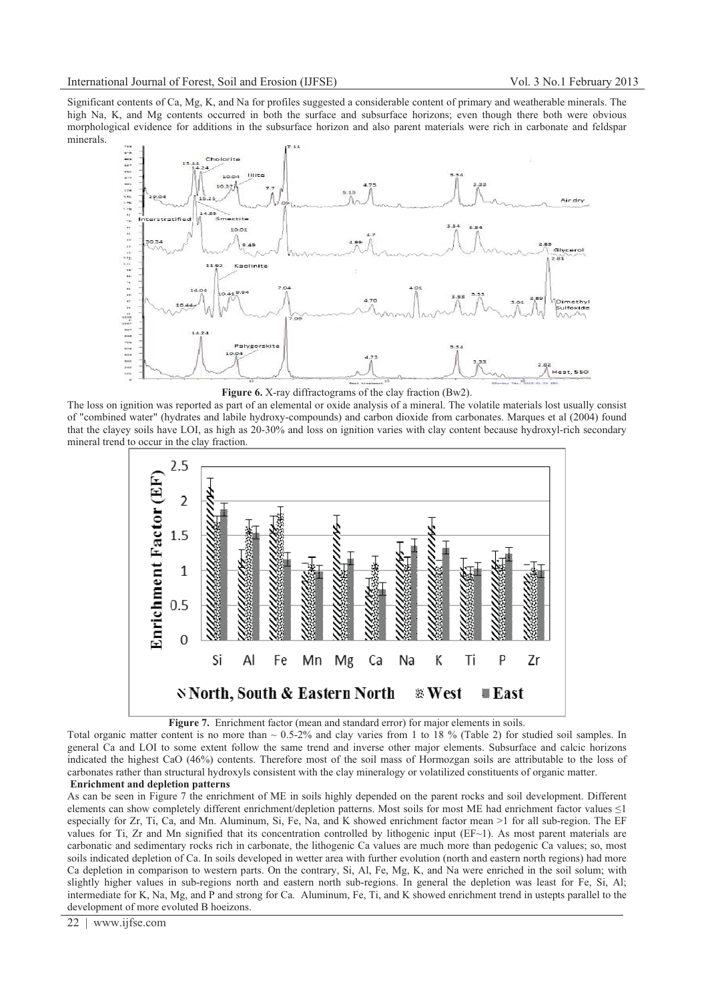Significant contents of Ca, Mg, K, and Na for profiles suggested a considerable content of primary and weatherable minerals. The high Na, K, and Mg contents occurred in both the surface and subsurface horizons; even though there both were obvious morphological evidence for additions in the subsurface horizon and also parent materials were rich in carbonate and feldspar minerals.



**Figure 6.** X-ray diffractograms of the clay fraction (Bw2).

The loss on ignition was reported as part of an elemental or oxide analysis of a mineral. The volatile materials lost usually consist of "combined water" (hydrates and labile hydroxy-compounds) and carbon dioxide from carbonates. Marques et al (2004) found that the clayey soils have LOI, as high as 20-30% and loss on ignition varies with clay content because hydroxyl-rich secondary mineral trend to occur in the clay fraction.





Total organic matter content is no more than  $\sim 0.5{\text -}2\%$  and clay varies from 1 to 18 % (Table 2) for studied soil samples. In general Ca and LOI to some extent follow the same trend and inverse other major elements. Subsurface and calcic horizons indicated the highest CaO (46%) contents. Therefore most of the soil mass of Hormozgan soils are attributable to the loss of carbonates rather than structural hydroxyls consistent with the clay mineralogy or volatilized constituents of organic matter.  **Enrichment and depletion patterns** 

As can be seen in Figure 7 the enrichment of ME in soils highly depended on the parent rocks and soil development. Different elements can show completely different enrichment/depletion patterns. Most soils for most ME had enrichment factor values  $\leq$ 1 especially for Zr, Ti, Ca, and Mn. Aluminum, Si, Fe, Na, and K showed enrichment factor mean >1 for all sub-region. The EF values for Ti, Zr and Mn signified that its concentration controlled by lithogenic input  $(EF~1)$ . As most parent materials are carbonatic and sedimentary rocks rich in carbonate, the lithogenic Ca values are much more than pedogenic Ca values; so, most soils indicated depletion of Ca. In soils developed in wetter area with further evolution (north and eastern north regions) had more Ca depletion in comparison to western parts. On the contrary, Si, Al, Fe, Mg, K, and Na were enriched in the soil solum; with slightly higher values in sub-regions north and eastern north sub-regions. In general the depletion was least for Fe, Si, Al; intermediate for K, Na, Mg, and P and strong for Ca. Aluminum, Fe, Ti, and K showed enrichment trend in ustepts parallel to the development of more evoluted B hoeizons.

22 | www.ijfse.com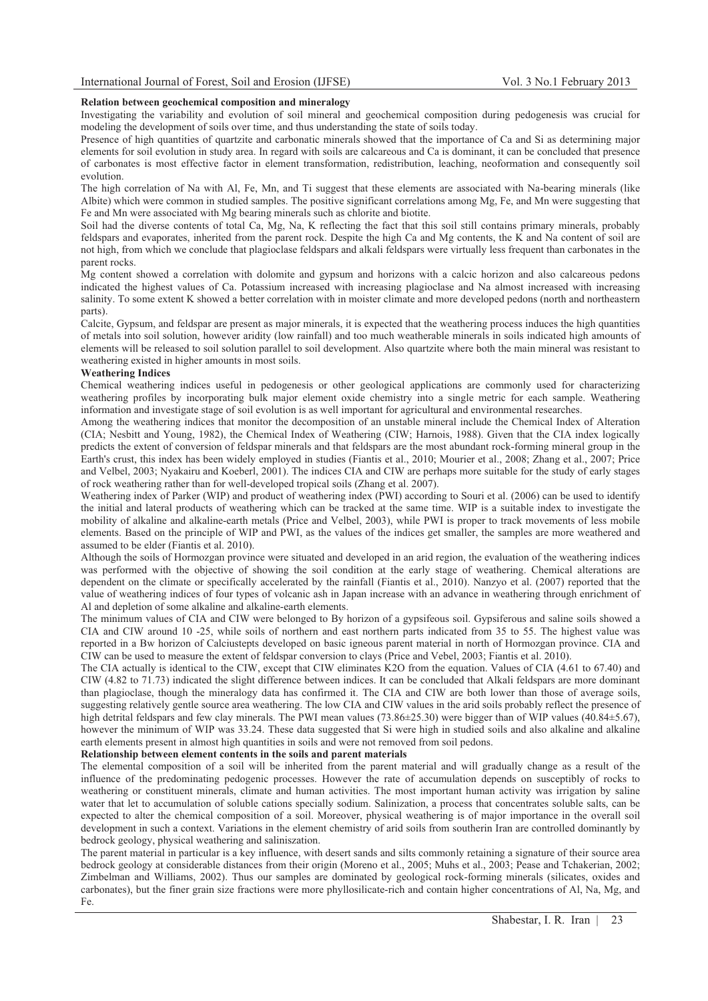# **Relation between geochemical composition and mineralogy**

Investigating the variability and evolution of soil mineral and geochemical composition during pedogenesis was crucial for modeling the development of soils over time, and thus understanding the state of soils today.

Presence of high quantities of quartzite and carbonatic minerals showed that the importance of Ca and Si as determining major elements for soil evolution in study area. In regard with soils are calcareous and Ca is dominant, it can be concluded that presence of carbonates is most effective factor in element transformation, redistribution, leaching, neoformation and consequently soil evolution.

The high correlation of Na with Al, Fe, Mn, and Ti suggest that these elements are associated with Na-bearing minerals (like Albite) which were common in studied samples. The positive significant correlations among Mg, Fe, and Mn were suggesting that Fe and Mn were associated with Mg bearing minerals such as chlorite and biotite.

Soil had the diverse contents of total Ca, Mg, Na, K reflecting the fact that this soil still contains primary minerals, probably feldspars and evaporates, inherited from the parent rock. Despite the high Ca and Mg contents, the K and Na content of soil are not high, from which we conclude that plagioclase feldspars and alkali feldspars were virtually less frequent than carbonates in the parent rocks.

Mg content showed a correlation with dolomite and gypsum and horizons with a calcic horizon and also calcareous pedons indicated the highest values of Ca. Potassium increased with increasing plagioclase and Na almost increased with increasing salinity. To some extent K showed a better correlation with in moister climate and more developed pedons (north and northeastern parts).

Calcite, Gypsum, and feldspar are present as major minerals, it is expected that the weathering process induces the high quantities of metals into soil solution, however aridity (low rainfall) and too much weatherable minerals in soils indicated high amounts of elements will be released to soil solution parallel to soil development. Also quartzite where both the main mineral was resistant to weathering existed in higher amounts in most soils.

# **Weathering Indices**

Chemical weathering indices useful in pedogenesis or other geological applications are commonly used for characterizing weathering profiles by incorporating bulk major element oxide chemistry into a single metric for each sample. Weathering information and investigate stage of soil evolution is as well important for agricultural and environmental researches.

Among the weathering indices that monitor the decomposition of an unstable mineral include the Chemical Index of Alteration (CIA; Nesbitt and Young, 1982), the Chemical Index of Weathering (CIW; Harnois, 1988). Given that the CIA index logically predicts the extent of conversion of feldspar minerals and that feldspars are the most abundant rock-forming mineral group in the Earth's crust, this index has been widely employed in studies (Fiantis et al., 2010; Mourier et al., 2008; Zhang et al., 2007; Price and Velbel, 2003; Nyakairu and Koeberl, 2001). The indices CIA and CIW are perhaps more suitable for the study of early stages of rock weathering rather than for well-developed tropical soils (Zhang et al. 2007).

Weathering index of Parker (WIP) and product of weathering index (PWI) according to Souri et al. (2006) can be used to identify the initial and lateral products of weathering which can be tracked at the same time. WIP is a suitable index to investigate the mobility of alkaline and alkaline-earth metals (Price and Velbel, 2003), while PWI is proper to track movements of less mobile elements. Based on the principle of WIP and PWI, as the values of the indices get smaller, the samples are more weathered and assumed to be elder (Fiantis et al. 2010).

Although the soils of Hormozgan province were situated and developed in an arid region, the evaluation of the weathering indices was performed with the objective of showing the soil condition at the early stage of weathering. Chemical alterations are dependent on the climate or specifically accelerated by the rainfall (Fiantis et al., 2010). Nanzyo et al. (2007) reported that the value of weathering indices of four types of volcanic ash in Japan increase with an advance in weathering through enrichment of Al and depletion of some alkaline and alkaline-earth elements.

The minimum values of CIA and CIW were belonged to By horizon of a gypsifeous soil. Gypsiferous and saline soils showed a CIA and CIW around 10 -25, while soils of northern and east northern parts indicated from 35 to 55. The highest value was reported in a Bw horizon of Calciustepts developed on basic igneous parent material in north of Hormozgan province. CIA and CIW can be used to measure the extent of feldspar conversion to clays (Price and Vebel, 2003; Fiantis et al. 2010).

The CIA actually is identical to the CIW, except that CIW eliminates K2O from the equation. Values of CIA (4.61 to 67.40) and CIW (4.82 to 71.73) indicated the slight difference between indices. It can be concluded that Alkali feldspars are more dominant than plagioclase, though the mineralogy data has confirmed it. The CIA and CIW are both lower than those of average soils, suggesting relatively gentle source area weathering. The low CIA and CIW values in the arid soils probably reflect the presence of high detrital feldspars and few clay minerals. The PWI mean values (73.86 $\pm$ 25.30) were bigger than of WIP values (40.84 $\pm$ 5.67), however the minimum of WIP was 33.24. These data suggested that Si were high in studied soils and also alkaline and alkaline earth elements present in almost high quantities in soils and were not removed from soil pedons.

# **Relationship between element contents in the soils and parent materials**

The elemental composition of a soil will be inherited from the parent material and will gradually change as a result of the influence of the predominating pedogenic processes. However the rate of accumulation depends on susceptibly of rocks to weathering or constituent minerals, climate and human activities. The most important human activity was irrigation by saline water that let to accumulation of soluble cations specially sodium. Salinization, a process that concentrates soluble salts, can be expected to alter the chemical composition of a soil. Moreover, physical weathering is of major importance in the overall soil development in such a context. Variations in the element chemistry of arid soils from southerin Iran are controlled dominantly by bedrock geology, physical weathering and saliniszation.

The parent material in particular is a key influence, with desert sands and silts commonly retaining a signature of their source area bedrock geology at considerable distances from their origin (Moreno et al., 2005; Muhs et al., 2003; Pease and Tchakerian, 2002; Zimbelman and Williams, 2002). Thus our samples are dominated by geological rock-forming minerals (silicates, oxides and carbonates), but the finer grain size fractions were more phyllosilicate-rich and contain higher concentrations of Al, Na, Mg, and Fe.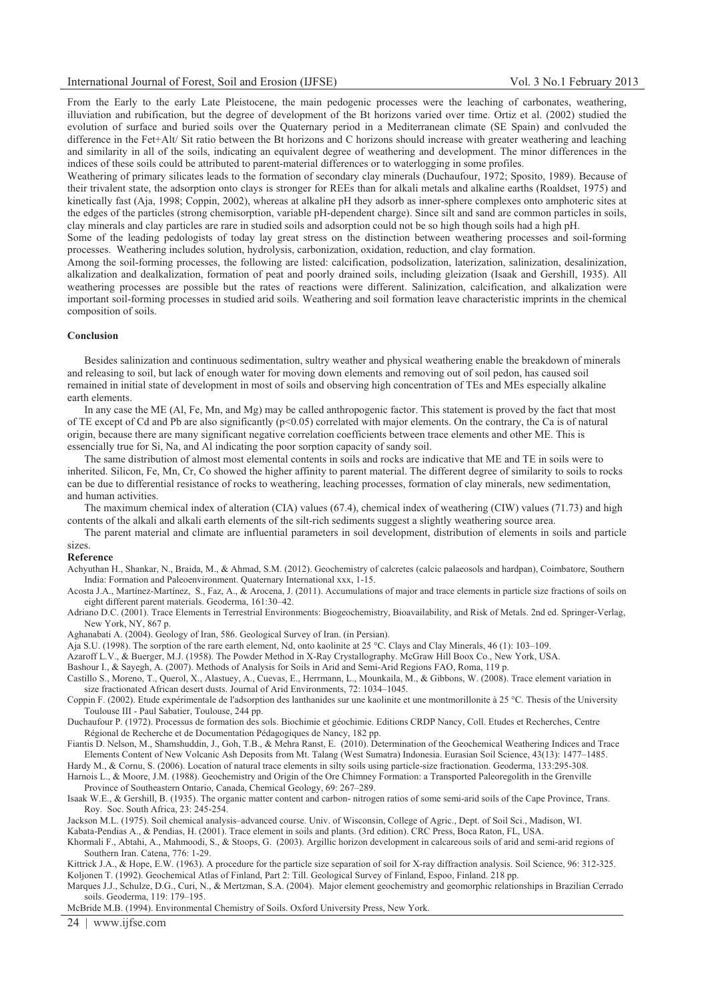From the Early to the early Late Pleistocene, the main pedogenic processes were the leaching of carbonates, weathering, illuviation and rubification, but the degree of development of the Bt horizons varied over time. Ortiz et al. (2002) studied the evolution of surface and buried soils over the Quaternary period in a Mediterranean climate (SE Spain) and conlvuded the difference in the Fet+Alt/ Sit ratio between the Bt horizons and C horizons should increase with greater weathering and leaching and similarity in all of the soils, indicating an equivalent degree of weathering and development. The minor differences in the indices of these soils could be attributed to parent-material differences or to waterlogging in some profiles.

Weathering of primary silicates leads to the formation of secondary clay minerals (Duchaufour, 1972; Sposito, 1989). Because of their trivalent state, the adsorption onto clays is stronger for REEs than for alkali metals and alkaline earths (Roaldset, 1975) and kinetically fast (Aja, 1998; Coppin, 2002), whereas at alkaline pH they adsorb as inner-sphere complexes onto amphoteric sites at the edges of the particles (strong chemisorption, variable pH-dependent charge). Since silt and sand are common particles in soils, clay minerals and clay particles are rare in studied soils and adsorption could not be so high though soils had a high pH.

Some of the leading pedologists of today lay great stress on the distinction between weathering processes and soil-forming processes. Weathering includes solution, hydrolysis, carbonization, oxidation, reduction, and clay formation.

Among the soil-forming processes, the following are listed: calcification, podsolization, laterization, salinization, desalinization, alkalization and dealkalization, formation of peat and poorly drained soils, including gleization (Isaak and Gershill, 1935). All weathering processes are possible but the rates of reactions were different. Salinization, calcification, and alkalization were important soil-forming processes in studied arid soils. Weathering and soil formation leave characteristic imprints in the chemical composition of soils.

## **Conclusion**

Besides salinization and continuous sedimentation, sultry weather and physical weathering enable the breakdown of minerals and releasing to soil, but lack of enough water for moving down elements and removing out of soil pedon, has caused soil remained in initial state of development in most of soils and observing high concentration of TEs and MEs especially alkaline earth elements.

In any case the ME (Al, Fe, Mn, and Mg) may be called anthropogenic factor. This statement is proved by the fact that most of TE except of Cd and Pb are also significantly (p<0.05) correlated with major elements. On the contrary, the Ca is of natural origin, because there are many significant negative correlation coefficients between trace elements and other ME. This is essencially true for Si, Na, and Al indicating the poor sorption capacity of sandy soil.

The same distribution of almost most elemental contents in soils and rocks are indicative that ME and TE in soils were to inherited. Silicon, Fe, Mn, Cr, Co showed the higher affinity to parent material. The different degree of similarity to soils to rocks can be due to differential resistance of rocks to weathering, leaching processes, formation of clay minerals, new sedimentation, and human activities.

The maximum chemical index of alteration (CIA) values (67.4), chemical index of weathering (CIW) values (71.73) and high contents of the alkali and alkali earth elements of the silt-rich sediments suggest a slightly weathering source area.

The parent material and climate are influential parameters in soil development, distribution of elements in soils and particle sizes.

**Reference** 

Achyuthan H., Shankar, N., Braida, M., & Ahmad, S.M. (2012). Geochemistry of calcretes (calcic palaeosols and hardpan), Coimbatore, Southern India: Formation and Paleoenvironment. Quaternary International xxx, 1-15.

Acosta J.A., Martínez-Martínez, S., Faz, A., & Arocena, J. (2011). Accumulations of major and trace elements in particle size fractions of soils on eight different parent materials. Geoderma, 161:30–42.

Adriano D.C. (2001). Trace Elements in Terrestrial Environments: Biogeochemistry, Bioavailability, and Risk of Metals. 2nd ed. Springer-Verlag, New York, NY, 867 p.

Aghanabati A. (2004). Geology of Iran, 586. Geological Survey of Iran. (in Persian).

Aja S.U. (1998). The sorption of the rare earth element, Nd, onto kaolinite at 25 °C. Clays and Clay Minerals, 46 (1): 103–109.

Azaroff L.V., & Buerger, M.J. (1958). The Powder Method in X-Ray Crystallography. McGraw Hill Boox Co., New York, USA.

Bashour I., & Sayegh, A. (2007). Methods of Analysis for Soils in Arid and Semi-Arid Regions FAO, Roma, 119 p.

Castillo S., Moreno, T., Querol, X., Alastuey, A., Cuevas, E., Herrmann, L., Mounkaila, M., & Gibbons, W. (2008). Trace element variation in size fractionated African desert dusts. Journal of Arid Environments, 72: 1034–1045.

Coppin F. (2002). Etude expérimentale de l'adsorption des lanthanides sur une kaolinite et une montmorillonite à 25 °C. Thesis of the University Toulouse III - Paul Sabatier, Toulouse, 244 pp.

Duchaufour P. (1972). Processus de formation des sols. Biochimie et géochimie. Editions CRDP Nancy, Coll. Etudes et Recherches, Centre Régional de Recherche et de Documentation Pédagogiques de Nancy, 182 pp.

Fiantis D. Nelson, M., Shamshuddin, J., Goh, T.B., & Mehra Ranst, E. (2010). Determination of the Geochemical Weathering Indices and Trace Elements Content of New Volcanic Ash Deposits from Mt. Talang (West Sumatra) Indonesia. Eurasian Soil Science, 43(13): 1477–1485.

Hardy M., & Cornu, S. (2006). Location of natural trace elements in silty soils using particle-size fractionation. Geoderma, 133:295-308. Harnois L., & Moore, J.M. (1988). Geochemistry and Origin of the Ore Chimney Formation: a Transported Paleoregolith in the Grenville

Province of Southeastern Ontario, Canada, Chemical Geology, 69: 267–289.

Isaak W.E., & Gershill, B. (1935). The organic matter content and carbon- nitrogen ratios of some semi-arid soils of the Cape Province, Trans. Roy. Soc. South Africa, 23: 245-254.

Jackson M.L. (1975). Soil chemical analysis–advanced course. Univ. of Wisconsin, College of Agric., Dept. of Soil Sci., Madison, WI. Kabata-Pendias A., & Pendias, H. (2001). Trace element in soils and plants. (3rd edition). CRC Press, Boca Raton, FL, USA.

Khormali F., Abtahi, A., Mahmoodi, S., & Stoops, G. (2003). Argillic horizon development in calcareous soils of arid and semi-arid regions of Southern Iran. Catena, 776: 1-29.

Kittrick J.A., & Hope, E.W. (1963). A procedure for the particle size separation of soil for X-ray diffraction analysis. Soil Science, 96: 312-325. Koljonen T. (1992). Geochemical Atlas of Finland, Part 2: Till. Geological Survey of Finland, Espoo, Finland. 218 pp.

Marques J.J., Schulze, D.G., Curi, N., & Mertzman, S.A. (2004). Major element geochemistry and geomorphic relationships in Brazilian Cerrado soils. Geoderma, 119: 179–195.

McBride M.B. (1994). Environmental Chemistry of Soils. Oxford University Press, New York.

24 | www.ijfse.com